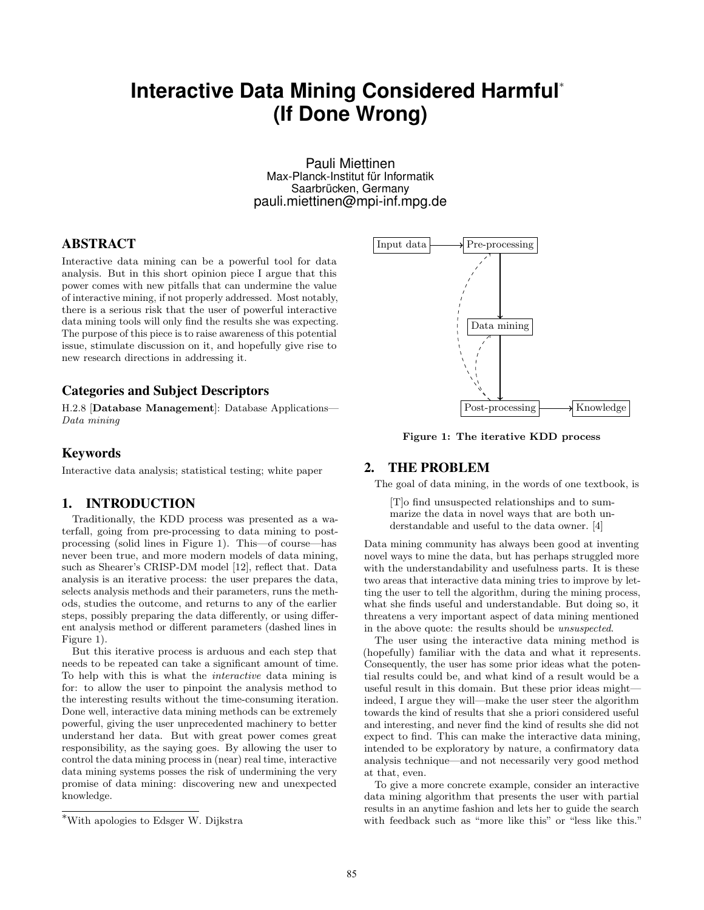# **Interactive Data Mining Considered Harmful**<sup>∗</sup> **(If Done Wrong)**

Pauli Miettinen Max-Planck-Institut für Informatik Saarbrücken, Germany pauli.miettinen@mpi-inf.mpg.de

## ABSTRACT

Interactive data mining can be a powerful tool for data analysis. But in this short opinion piece I argue that this power comes with new pitfalls that can undermine the value of interactive mining, if not properly addressed. Most notably, there is a serious risk that the user of powerful interactive data mining tools will only find the results she was expecting. The purpose of this piece is to raise awareness of this potential issue, stimulate discussion on it, and hopefully give rise to new research directions in addressing it.

#### Categories and Subject Descriptors

H.2.8 [Database Management]: Database Applications— Data mining

#### Keywords

Interactive data analysis; statistical testing; white paper

#### 1. INTRODUCTION

Traditionally, the KDD process was presented as a waterfall, going from pre-processing to data mining to postprocessing (solid lines in Figure 1). This—of course—has never been true, and more modern models of data mining, such as Shearer's CRISP-DM model [12], reflect that. Data analysis is an iterative process: the user prepares the data, selects analysis methods and their parameters, runs the methods, studies the outcome, and returns to any of the earlier steps, possibly preparing the data differently, or using different analysis method or different parameters (dashed lines in Figure 1).

But this iterative process is arduous and each step that needs to be repeated can take a significant amount of time. To help with this is what the interactive data mining is for: to allow the user to pinpoint the analysis method to the interesting results without the time-consuming iteration. Done well, interactive data mining methods can be extremely powerful, giving the user unprecedented machinery to better understand her data. But with great power comes great responsibility, as the saying goes. By allowing the user to control the data mining process in (near) real time, interactive data mining systems posses the risk of undermining the very promise of data mining: discovering new and unexpected knowledge.



Figure 1: The iterative KDD process

## 2. THE PROBLEM

The goal of data mining, in the words of one textbook, is

[T]o find unsuspected relationships and to summarize the data in novel ways that are both understandable and useful to the data owner. [4]

Data mining community has always been good at inventing novel ways to mine the data, but has perhaps struggled more with the understandability and usefulness parts. It is these two areas that interactive data mining tries to improve by letting the user to tell the algorithm, during the mining process, what she finds useful and understandable. But doing so, it threatens a very important aspect of data mining mentioned in the above quote: the results should be unsuspected.

The user using the interactive data mining method is (hopefully) familiar with the data and what it represents. Consequently, the user has some prior ideas what the potential results could be, and what kind of a result would be a useful result in this domain. But these prior ideas might indeed, I argue they will—make the user steer the algorithm towards the kind of results that she a priori considered useful and interesting, and never find the kind of results she did not expect to find. This can make the interactive data mining, intended to be exploratory by nature, a confirmatory data analysis technique—and not necessarily very good method at that, even.

To give a more concrete example, consider an interactive data mining algorithm that presents the user with partial results in an anytime fashion and lets her to guide the search with feedback such as "more like this" or "less like this."

<sup>∗</sup>With apologies to Edsger W. Dijkstra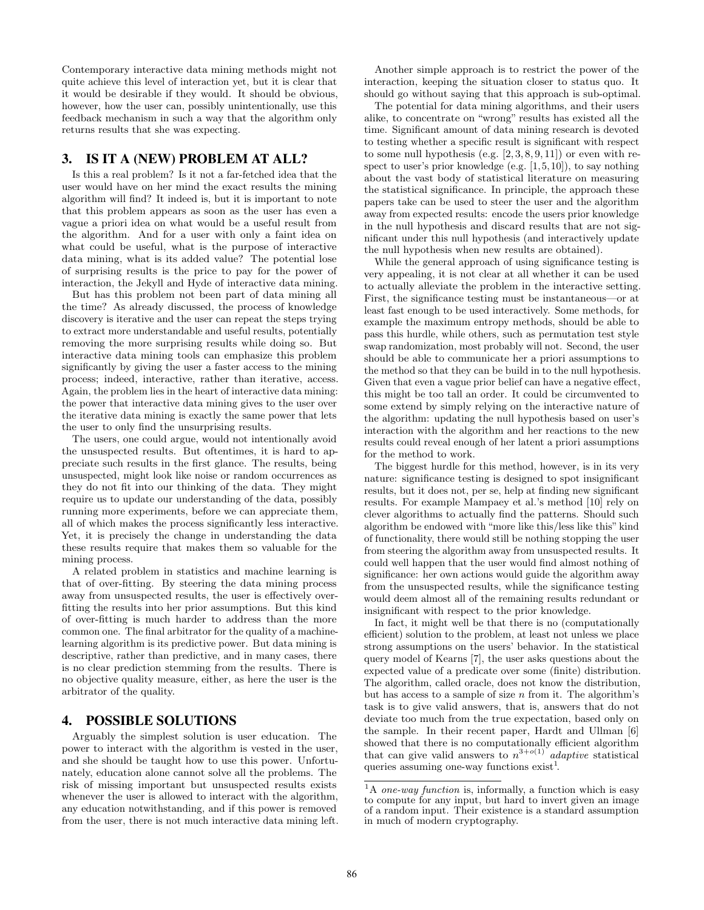Contemporary interactive data mining methods might not quite achieve this level of interaction yet, but it is clear that it would be desirable if they would. It should be obvious, however, how the user can, possibly unintentionally, use this feedback mechanism in such a way that the algorithm only returns results that she was expecting.

## 3. IS IT A (NEW) PROBLEM AT ALL?

Is this a real problem? Is it not a far-fetched idea that the user would have on her mind the exact results the mining algorithm will find? It indeed is, but it is important to note that this problem appears as soon as the user has even a vague a priori idea on what would be a useful result from the algorithm. And for a user with only a faint idea on what could be useful, what is the purpose of interactive data mining, what is its added value? The potential lose of surprising results is the price to pay for the power of interaction, the Jekyll and Hyde of interactive data mining.

But has this problem not been part of data mining all the time? As already discussed, the process of knowledge discovery is iterative and the user can repeat the steps trying to extract more understandable and useful results, potentially removing the more surprising results while doing so. But interactive data mining tools can emphasize this problem significantly by giving the user a faster access to the mining process; indeed, interactive, rather than iterative, access. Again, the problem lies in the heart of interactive data mining: the power that interactive data mining gives to the user over the iterative data mining is exactly the same power that lets the user to only find the unsurprising results.

The users, one could argue, would not intentionally avoid the unsuspected results. But oftentimes, it is hard to appreciate such results in the first glance. The results, being unsuspected, might look like noise or random occurrences as they do not fit into our thinking of the data. They might require us to update our understanding of the data, possibly running more experiments, before we can appreciate them, all of which makes the process significantly less interactive. Yet, it is precisely the change in understanding the data these results require that makes them so valuable for the mining process.

A related problem in statistics and machine learning is that of over-fitting. By steering the data mining process away from unsuspected results, the user is effectively overfitting the results into her prior assumptions. But this kind of over-fitting is much harder to address than the more common one. The final arbitrator for the quality of a machinelearning algorithm is its predictive power. But data mining is descriptive, rather than predictive, and in many cases, there is no clear prediction stemming from the results. There is no objective quality measure, either, as here the user is the arbitrator of the quality.

#### 4. POSSIBLE SOLUTIONS

Arguably the simplest solution is user education. The power to interact with the algorithm is vested in the user, and she should be taught how to use this power. Unfortunately, education alone cannot solve all the problems. The risk of missing important but unsuspected results exists whenever the user is allowed to interact with the algorithm, any education notwithstanding, and if this power is removed from the user, there is not much interactive data mining left.

Another simple approach is to restrict the power of the interaction, keeping the situation closer to status quo. It should go without saying that this approach is sub-optimal.

The potential for data mining algorithms, and their users alike, to concentrate on "wrong" results has existed all the time. Significant amount of data mining research is devoted to testing whether a specific result is significant with respect to some null hypothesis (e.g.  $[2, 3, 8, 9, 11]$ ) or even with respect to user's prior knowledge (e.g.  $[1, 5, 10]$ ), to say nothing about the vast body of statistical literature on measuring the statistical significance. In principle, the approach these papers take can be used to steer the user and the algorithm away from expected results: encode the users prior knowledge in the null hypothesis and discard results that are not significant under this null hypothesis (and interactively update the null hypothesis when new results are obtained).

While the general approach of using significance testing is very appealing, it is not clear at all whether it can be used to actually alleviate the problem in the interactive setting. First, the significance testing must be instantaneous—or at least fast enough to be used interactively. Some methods, for example the maximum entropy methods, should be able to pass this hurdle, while others, such as permutation test style swap randomization, most probably will not. Second, the user should be able to communicate her a priori assumptions to the method so that they can be build in to the null hypothesis. Given that even a vague prior belief can have a negative effect, this might be too tall an order. It could be circumvented to some extend by simply relying on the interactive nature of the algorithm: updating the null hypothesis based on user's interaction with the algorithm and her reactions to the new results could reveal enough of her latent a priori assumptions for the method to work.

The biggest hurdle for this method, however, is in its very nature: significance testing is designed to spot insignificant results, but it does not, per se, help at finding new significant results. For example Mampaey et al.'s method [10] rely on clever algorithms to actually find the patterns. Should such algorithm be endowed with "more like this/less like this" kind of functionality, there would still be nothing stopping the user from steering the algorithm away from unsuspected results. It could well happen that the user would find almost nothing of significance: her own actions would guide the algorithm away from the unsuspected results, while the significance testing would deem almost all of the remaining results redundant or insignificant with respect to the prior knowledge.

In fact, it might well be that there is no (computationally efficient) solution to the problem, at least not unless we place strong assumptions on the users' behavior. In the statistical query model of Kearns [7], the user asks questions about the expected value of a predicate over some (finite) distribution. The algorithm, called oracle, does not know the distribution, but has access to a sample of size  $n$  from it. The algorithm's task is to give valid answers, that is, answers that do not deviate too much from the true expectation, based only on the sample. In their recent paper, Hardt and Ullman [6] showed that there is no computationally efficient algorithm that can give valid answers to  $n^{3+o(1)}$  adaptive statistical queries assuming one-way functions  $\text{exist}^1$ .

 $^1\mathrm{A}$  one-way function is, informally, a function which is easy to compute for any input, but hard to invert given an image of a random input. Their existence is a standard assumption in much of modern cryptography.